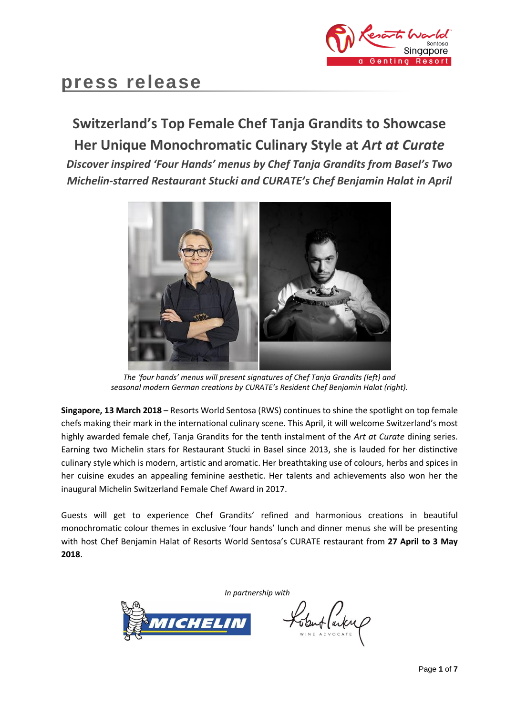

# **press release**

# **Switzerland's Top Female Chef Tanja Grandits to Showcase Her Unique Monochromatic Culinary Style at** *Art at Curate*

*Discover inspired 'Four Hands' menus by Chef Tanja Grandits from Basel's Two Michelin-starred Restaurant Stucki and CURATE's Chef Benjamin Halat in April*



*The 'four hands' menus will present signatures of Chef Tanja Grandits (left) and seasonal modern German creations by CURATE's Resident Chef Benjamin Halat (right).*

**Singapore, 13 March 2018** – Resorts World Sentosa (RWS) continues to shine the spotlight on top female chefs making their mark in the international culinary scene. This April, it will welcome Switzerland's most highly awarded female chef, Tanja Grandits for the tenth instalment of the *Art at Curate* dining series. Earning two Michelin stars for Restaurant Stucki in Basel since 2013, she is lauded for her distinctive culinary style which is modern, artistic and aromatic. Her breathtaking use of colours, herbs and spices in her cuisine exudes an appealing feminine aesthetic. Her talents and achievements also won her the inaugural Michelin Switzerland Female Chef Award in 2017.

Guests will get to experience Chef Grandits' refined and harmonious creations in beautiful monochromatic colour themes in exclusive 'four hands' lunch and dinner menus she will be presenting with host Chef Benjamin Halat of Resorts World Sentosa's CURATE restaurant from **27 April to 3 May 2018**.

*In partnership with*



Lobut (artemp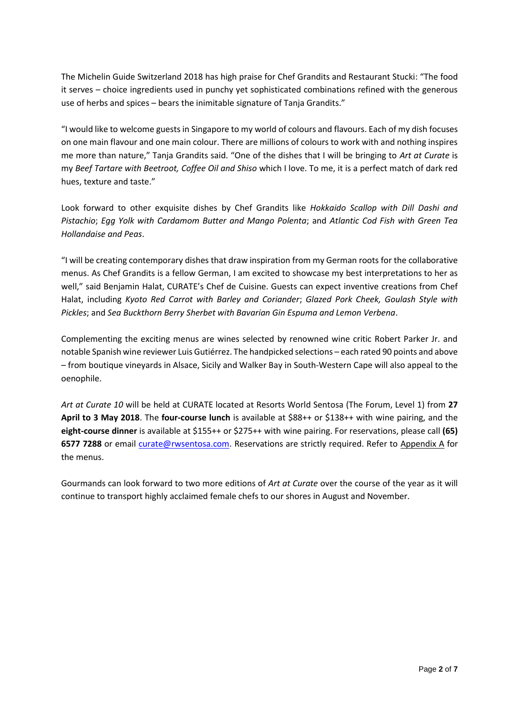The Michelin Guide Switzerland 2018 has high praise for Chef Grandits and Restaurant Stucki: "The food it serves – choice ingredients used in punchy yet sophisticated combinations refined with the generous use of herbs and spices – bears the inimitable signature of Tanja Grandits."

"I would like to welcome guests in Singapore to my world of colours and flavours. Each of my dish focuses on one main flavour and one main colour. There are millions of colours to work with and nothing inspires me more than nature," Tanja Grandits said. "One of the dishes that I will be bringing to *Art at Curate* is my *Beef Tartare with Beetroot, Coffee Oil and Shiso* which I love. To me, it is a perfect match of dark red hues, texture and taste."

Look forward to other exquisite dishes by Chef Grandits like *Hokkaido Scallop with Dill Dashi and Pistachio*; *Egg Yolk with Cardamom Butter and Mango Polenta*; and *Atlantic Cod Fish with Green Tea Hollandaise and Peas*.

"I will be creating contemporary dishes that draw inspiration from my German roots for the collaborative menus. As Chef Grandits is a fellow German, I am excited to showcase my best interpretations to her as well," said Benjamin Halat, CURATE's Chef de Cuisine. Guests can expect inventive creations from Chef Halat, including *Kyoto Red Carrot with Barley and Coriander*; *Glazed Pork Cheek, Goulash Style with Pickles*; and *Sea Buckthorn Berry Sherbet with Bavarian Gin Espuma and Lemon Verbena*.

Complementing the exciting menus are wines selected by renowned wine critic Robert Parker Jr. and notable Spanish wine reviewer Luis Gutiérrez. The handpicked selections – each rated 90 points and above – from boutique vineyards in Alsace, Sicily and Walker Bay in South-Western Cape will also appeal to the oenophile.

*Art at Curate 10* will be held at CURATE located at Resorts World Sentosa (The Forum, Level 1) from **27 April to 3 May 2018**. The **four-course lunch** is available at \$88++ or \$138++ with wine pairing, and the **eight-course dinner** is available at \$155++ or \$275++ with wine pairing. For reservations, please call **(65) 6577 7288** or email [curate@rwsentosa.com.](mailto:curate@rwsentosa.com) Reservations are strictly required. Refer to Appendix A for the menus.

Gourmands can look forward to two more editions of *Art at Curate* over the course of the year as it will continue to transport highly acclaimed female chefs to our shores in August and November.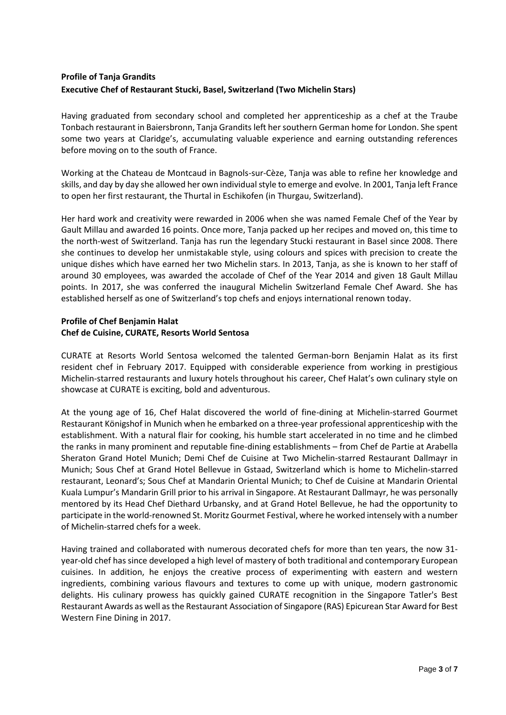## **Profile of Tanja Grandits Executive Chef of Restaurant Stucki, Basel, Switzerland (Two Michelin Stars)**

Having graduated from secondary school and completed her apprenticeship as a chef at the Traube Tonbach restaurant in Baiersbronn, Tanja Grandits left her southern German home for London. She spent some two years at Claridge's, accumulating valuable experience and earning outstanding references before moving on to the south of France.

Working at the Chateau de Montcaud in Bagnols-sur-Cèze, Tanja was able to refine her knowledge and skills, and day by day she allowed her own individual style to emerge and evolve. In 2001, Tanja left France to open her first restaurant, the Thurtal in Eschikofen (in Thurgau, Switzerland).

Her hard work and creativity were rewarded in 2006 when she was named Female Chef of the Year by Gault Millau and awarded 16 points. Once more, Tanja packed up her recipes and moved on, this time to the north-west of Switzerland. Tanja has run the legendary Stucki restaurant in Basel since 2008. There she continues to develop her unmistakable style, using colours and spices with precision to create the unique dishes which have earned her two Michelin stars. In 2013, Tanja, as she is known to her staff of around 30 employees, was awarded the accolade of Chef of the Year 2014 and given 18 Gault Millau points. In 2017, she was conferred the inaugural Michelin Switzerland Female Chef Award. She has established herself as one of Switzerland's top chefs and enjoys international renown today.

## **Profile of Chef Benjamin Halat Chef de Cuisine, CURATE, Resorts World Sentosa**

CURATE at Resorts World Sentosa welcomed the talented German-born Benjamin Halat as its first resident chef in February 2017. Equipped with considerable experience from working in prestigious Michelin-starred restaurants and luxury hotels throughout his career, Chef Halat's own culinary style on showcase at CURATE is exciting, bold and adventurous.

At the young age of 16, Chef Halat discovered the world of fine-dining at Michelin-starred Gourmet Restaurant Königshof in Munich when he embarked on a three-year professional apprenticeship with the establishment. With a natural flair for cooking, his humble start accelerated in no time and he climbed the ranks in many prominent and reputable fine-dining establishments – from Chef de Partie at Arabella Sheraton Grand Hotel Munich; Demi Chef de Cuisine at Two Michelin-starred Restaurant Dallmayr in Munich; Sous Chef at Grand Hotel Bellevue in Gstaad, Switzerland which is home to Michelin-starred restaurant, Leonard's; Sous Chef at Mandarin Oriental Munich; to Chef de Cuisine at Mandarin Oriental Kuala Lumpur's Mandarin Grill prior to his arrival in Singapore. At Restaurant Dallmayr, he was personally mentored by its Head Chef Diethard Urbansky, and at Grand Hotel Bellevue, he had the opportunity to participate in the world-renowned St. Moritz Gourmet Festival, where he worked intensely with a number of Michelin-starred chefs for a week.

Having trained and collaborated with numerous decorated chefs for more than ten years, the now 31 year-old chef has since developed a high level of mastery of both traditional and contemporary European cuisines. In addition, he enjoys the creative process of experimenting with eastern and western ingredients, combining various flavours and textures to come up with unique, modern gastronomic delights. His culinary prowess has quickly gained CURATE recognition in the Singapore Tatler's Best Restaurant Awards as well as the Restaurant Association of Singapore (RAS) Epicurean Star Award for Best Western Fine Dining in 2017.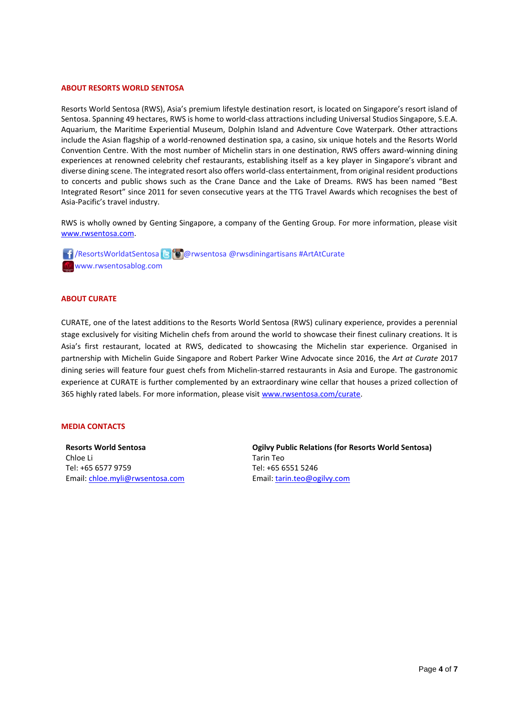### **ABOUT RESORTS WORLD SENTOSA**

Resorts World Sentosa (RWS), Asia's premium lifestyle destination resort, is located on Singapore's resort island of Sentosa. Spanning 49 hectares, RWS is home to world-class attractions including Universal Studios Singapore, S.E.A. Aquarium, the Maritime Experiential Museum, Dolphin Island and Adventure Cove Waterpark. Other attractions include the Asian flagship of a world-renowned destination spa, a casino, six unique hotels and the Resorts World Convention Centre. With the most number of Michelin stars in one destination, RWS offers award-winning dining experiences at renowned celebrity chef restaurants, establishing itself as a key player in Singapore's vibrant and diverse dining scene. The integrated resort also offers world-class entertainment, from original resident productions to concerts and public shows such as the Crane Dance and the Lake of Dreams. RWS has been named "Best Integrated Resort" since 2011 for seven consecutive years at the TTG Travel Awards which recognises the best of Asia-Pacific's travel industry.

RWS is wholly owned by Genting Singapore, a company of the Genting Group. For more information, please visit [www.rwsentosa.com.](http://www.rwsentosa.com/)

 /ResortsWorldatSentosa @rwsentosa @rwsdiningartisans #ArtAtCurate www.rwsentosablog.com

### **ABOUT CURATE**

CURATE, one of the latest additions to the Resorts World Sentosa (RWS) culinary experience, provides a perennial stage exclusively for visiting Michelin chefs from around the world to showcase their finest culinary creations. It is Asia's first restaurant, located at RWS, dedicated to showcasing the Michelin star experience. Organised in partnership with Michelin Guide Singapore and Robert Parker Wine Advocate since 2016, the *Art at Curate* 2017 dining series will feature four guest chefs from Michelin-starred restaurants in Asia and Europe. The gastronomic experience at CURATE is further complemented by an extraordinary wine cellar that houses a prized collection of 365 highly rated labels. For more information, please visit [www.rwsentosa.com/curate.](http://www.rwsentosa.com/curate) 

#### **MEDIA CONTACTS**

**Resorts World Sentosa** Chloe Li Tel: +65 6577 9759 Email[: chloe.myli@rwsentosa.com](mailto:chloe.myli@rwsentosa.com) **Ogilvy Public Relations (for Resorts World Sentosa)**  Tarin Teo Tel: +65 6551 5246 Email: [tarin.teo@ogilvy.com](mailto:tarin.teo@ogilvy.com)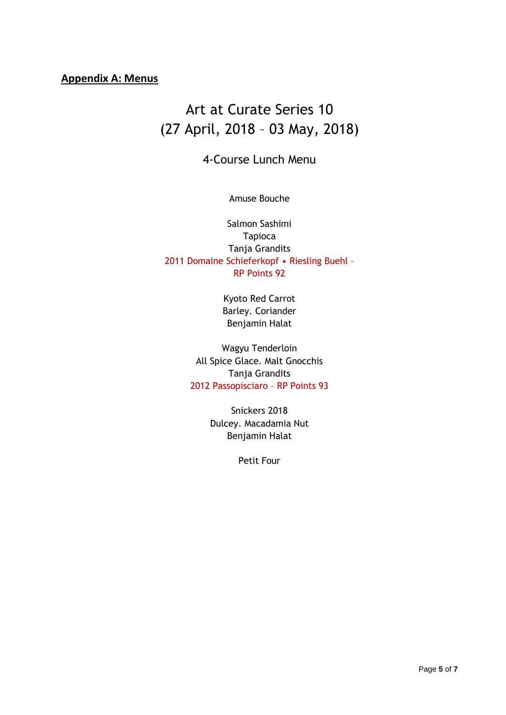# **Appendix A: Menus**

# Art at Curate Series 10 (27 April, 2018 – 03 May, 2018)

# 4-Course Lunch Menu

## Amuse Bouche

Salmon Sashimi Tapioca Tanja Grandits 2011 Domaine Schieferkopf • Riesling Buehl – RP Points 92

> Kyoto Red Carrot Barley. Coriander Benjamin Halat

Wagyu Tenderloin All Spice Glace. Malt Gnocchis Tanja Grandits 2012 Passopisciaro – RP Points 93

> Snickers 2018 Dulcey. Macadamia Nut Benjamin Halat

> > Petit Four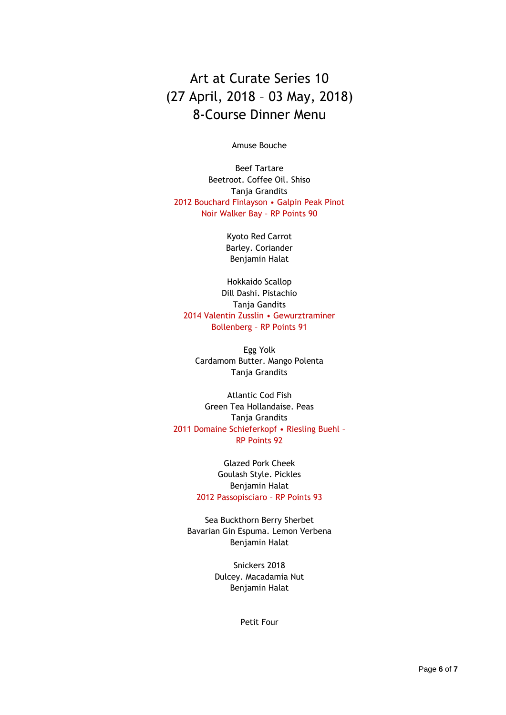Art at Curate Series 10 (27 April, 2018 – 03 May, 2018) 8-Course Dinner Menu

Amuse Bouche

Beef Tartare Beetroot. Coffee Oil. Shiso Tanja Grandits 2012 Bouchard Finlayson • Galpin Peak Pinot Noir Walker Bay – RP Points 90

> Kyoto Red Carrot Barley. Coriander Benjamin Halat

Hokkaido Scallop Dill Dashi. Pistachio Tanja Gandits 2014 Valentin Zusslin • Gewurztraminer Bollenberg – RP Points 91

Egg Yolk Cardamom Butter. Mango Polenta Tanja Grandits

Atlantic Cod Fish Green Tea Hollandaise. Peas Tanja Grandits 2011 Domaine Schieferkopf • Riesling Buehl – RP Points 92

> Glazed Pork Cheek Goulash Style. Pickles Benjamin Halat 2012 Passopisciaro – RP Points 93

Sea Buckthorn Berry Sherbet Bavarian Gin Espuma. Lemon Verbena Benjamin Halat

> Snickers 2018 Dulcey. Macadamia Nut Benjamin Halat

> > Petit Four